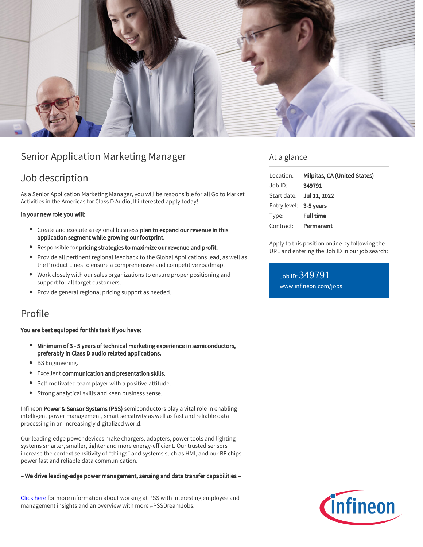

# Senior Application Marketing Manager

# Job description

As a Senior Application Marketing Manager, you will be responsible for all Go to Market Activities in the Americas for Class D Audio; If interested apply today!

### In your new role you will:

- Create and execute a regional business plan to expand our revenue in this application segment while growing our footprint.
- Responsible for pricing strategies to maximize our revenue and profit.
- Provide all pertinent regional feedback to the Global Applications lead, as well as the Product Lines to ensure a comprehensive and competitive roadmap.
- Work closely with our sales organizations to ensure proper positioning and support for all target customers.
- Provide general regional pricing support as needed.

## Profile

## You are best equipped for this task if you have:

- Minimum of 3 5 years of technical marketing experience in semiconductors, preferably in Class D audio related applications.
- **BS Engineering.**
- Excellent communication and presentation skills.
- Self-motivated team player with a positive attitude.
- Strong analytical skills and keen business sense.

Infineon Power & Sensor Systems (PSS) semiconductors play a vital role in enabling intelligent power management, smart sensitivity as well as fast and reliable data processing in an increasingly digitalized world.

Our leading-edge power devices make chargers, adapters, power tools and lighting systems smarter, smaller, lighter and more energy-efficient. Our trusted sensors increase the context sensitivity of "things" and systems such as HMI, and our RF chips power fast and reliable data communication.

#### – We drive leading-edge power management, sensing and data transfer capabilities –

[Click here](https://www.infineon.com/cms/en/careers/working-at-infineon/PSSDreamJob/) for more information about working at PSS with interesting employee and management insights and an overview with more #PSSDreamJobs.

## At a glance

| Location:              | Milpitas, CA (United States) |
|------------------------|------------------------------|
| Job ID:                | 349791                       |
|                        | Start date: Jul 11, 2022     |
| Entry level: 3-5 years |                              |
| Type:                  | <b>Full time</b>             |
| Contract:              | Permanent                    |

Apply to this position online by following the URL and entering the Job ID in our job search:

Job ID: 349791 [www.infineon.com/jobs](https://www.infineon.com/jobs)